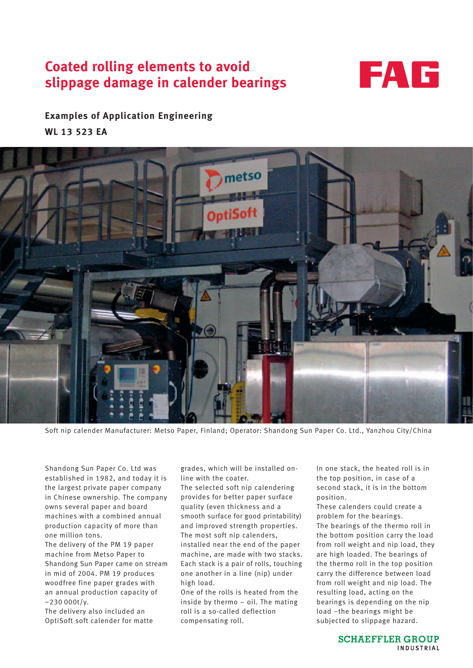# **Coated rolling elements to avoid slippage damage in calender bearings**



# **Examples of Application Engineering WL 13 523 EA**



Soft nip calender Manufacturer: Metso Paper, Finland; Operator: Shandong Sun Paper Co. Ltd., Yanzhou City/China

Shandong Sun Paper Co. Ltd was established in 1982, and today it is the largest private paper company in Chinese ownership. The company owns several paper and board machines with a combined annual production capacity of more than one million tons.

The delivery of the PM 19 paper machine from Metso Paper to Shandong Sun Paper came on stream in mid of 2004. PM 19 produces woodfree fine paper grades with an annual production capacity of  $~230000t/v.$ 

The delivery also included an OptiSoft soft calender for matte

grades, which will be installed online with the coater.

The selected soft nip calendering provides for better paper surface quality (even thickness and a smooth surface for good printability) and improved strength properties. The most soft nip calenders, installed near the end of the paper machine, are made with two stacks. Each stack is a pair of rolls, touching one another in a line (nip) under high load.

One of the rolls is heated from the inside by thermo – oil. The mating roll is a so-called deflection compensating roll.

In one stack, the heated roll is in the top position, in case of a second stack, it is in the bottom position.

These calenders could create a problem for the bearings. The bearings of the thermo roll in the bottom position carry the load from roll weight and nip load, they are high loaded. The bearings of the thermo roll in the top position carry the difference between load from roll weight and nip load. The resulting load, acting on the bearings is depending on the nip load –the bearings might be subjected to slippage hazard.

> **SCHAEFFLER GROUP** INDUSTRIAL